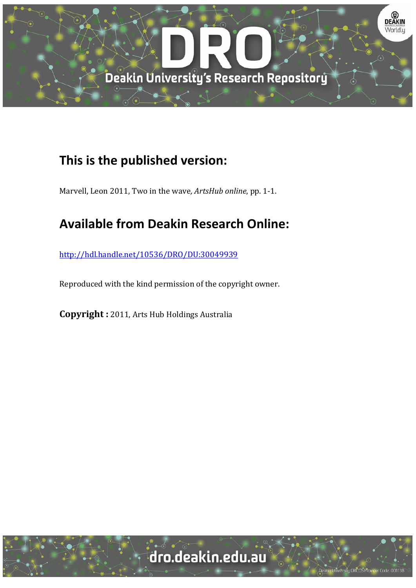

## **This is the published version:**

Marvell, Leon 2011, Two in the wave, *ArtsHub online*, pp. 1-1.

## **Available from Deakin Research Online:**

http://hdl.handle.net/10536/DRO/DU:30049939

Reproduced with the kind permission of the copyright owner.

**Copyright** : 2011, Arts Hub Holdings Australia

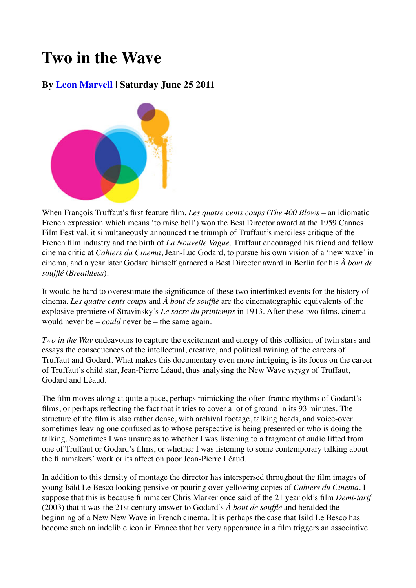# **Two in the Wave**

### **By Leon Marvell | Saturday June 25 2011**



When François Truffaut's first feature film, *Les quatre cents coups* (*The 400 Blows* – an idiomatic French expression which means 'to raise hell') won the Best Director award at the 1959 Cannes Film Festival, it simultaneously announced the triumph of Truffaut's merciless critique of the French film industry and the birth of *La Nouvelle Vague*. Truffaut encouraged his friend and fellow cinema critic at *Cahiers du Cinema*, Jean-Luc Godard, to pursue his own vision of a 'new wave' in cinema, and a year later Godard himself garnered a Best Director award in Berlin for his *À bout de soufflé* (*Breathless*).

It would be hard to overestimate the significance of these two interlinked events for the history of cinema. *Les quatre cents coups* and *À bout de soufflé* are the cinematographic equivalents of the explosive premiere of Stravinsky's *Le sacre du printemps* in 1913. After these two films, cinema would never be – *could* never be – the same again.

*Two in the Wav* endeavours to capture the excitement and energy of this collision of twin stars and essays the consequences of the intellectual, creative, and political twining of the careers of Truffaut and Godard. What makes this documentary even more intriguing is its focus on the career of Truffaut's child star, Jean-Pierre Léaud, thus analysing the New Wave *syzygy* of Truffaut, Godard and Léaud.

The film moves along at quite a pace, perhaps mimicking the often frantic rhythms of Godard's films, or perhaps reflecting the fact that it tries to cover a lot of ground in its 93 minutes. The structure of the film is also rather dense, with archival footage, talking heads, and voice-over sometimes leaving one confused as to whose perspective is being presented or who is doing the talking. Sometimes I was unsure as to whether I was listening to a fragment of audio lifted from one of Truffaut or Godard's films, or whether I was listening to some contemporary talking about the filmmakers' work or its affect on poor Jean-Pierre Léaud.

In addition to this density of montage the director has interspersed throughout the film images of young Isild Le Besco looking pensive or pouring over yellowing copies of *Cahiers du Cinema*. I suppose that this is because filmmaker Chris Marker once said of the 21 year old's film *Demi-tarif* (2003) that it was the 21st century answer to Godard's *À bout de soufflé* and heralded the beginning of a New New Wave in French cinema. It is perhaps the case that Isild Le Besco has become such an indelible icon in France that her very appearance in a film triggers an associative